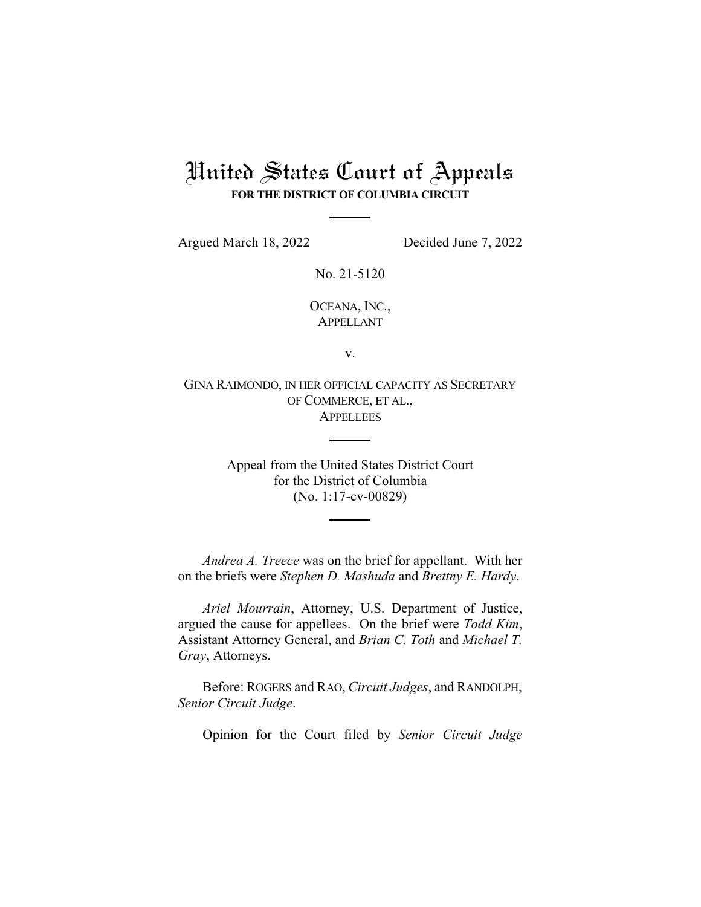## United States Court of Appeals **FOR THE DISTRICT OF COLUMBIA CIRCUIT**

Argued March 18, 2022 Decided June 7, 2022

No. 21-5120

OCEANA, INC., APPELLANT

v.

GINA RAIMONDO, IN HER OFFICIAL CAPACITY AS SECRETARY OF COMMERCE, ET AL., APPELLEES

> Appeal from the United States District Court for the District of Columbia (No. 1:17-cv-00829)

*Andrea A. Treece* was on the brief for appellant. With her on the briefs were *Stephen D. Mashuda* and *Brettny E. Hardy*.

*Ariel Mourrain*, Attorney, U.S. Department of Justice, argued the cause for appellees. On the brief were *Todd Kim*, Assistant Attorney General, and *Brian C. Toth* and *Michael T. Gray*, Attorneys.

Before: ROGERS and RAO, *Circuit Judges*, and RANDOLPH, *Senior Circuit Judge*.

Opinion for the Court filed by *Senior Circuit Judge*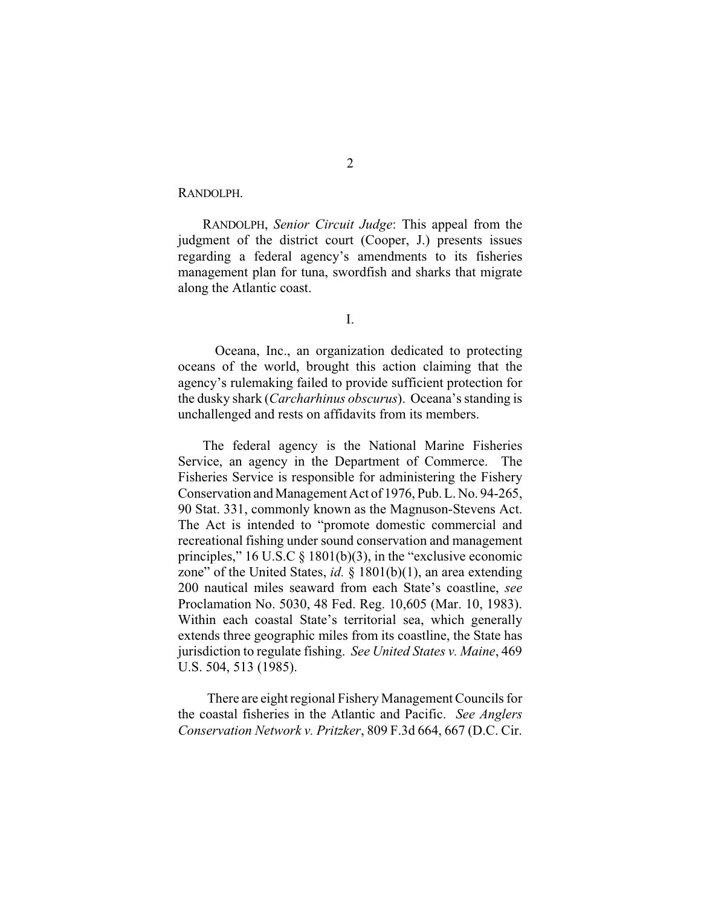RANDOLPH.

RANDOLPH, *Senior Circuit Judge*: This appeal from the judgment of the district court (Cooper, J.) presents issues regarding a federal agency's amendments to its fisheries management plan for tuna, swordfish and sharks that migrate along the Atlantic coast.

I.

Oceana, Inc., an organization dedicated to protecting oceans of the world, brought this action claiming that the agency's rulemaking failed to provide sufficient protection for the dusky shark (*Carcharhinus obscurus*). Oceana's standing is unchallenged and rests on affidavits from its members.

The federal agency is the National Marine Fisheries Service, an agency in the Department of Commerce. The Fisheries Service is responsible for administering the Fishery Conservation and Management Act of 1976, Pub. L. No. 94-265, 90 Stat. 331, commonly known as the Magnuson-Stevens Act. The Act is intended to "promote domestic commercial and recreational fishing under sound conservation and management principles," 16 U.S.C  $\S$  1801(b)(3), in the "exclusive economic zone" of the United States, *id.* § 1801(b)(1), an area extending 200 nautical miles seaward from each State's coastline, *see* Proclamation No. 5030, 48 Fed. Reg. 10,605 (Mar. 10, 1983). Within each coastal State's territorial sea, which generally extends three geographic miles from its coastline, the State has jurisdiction to regulate fishing. *See United States v. Maine*, 469 U.S. 504, 513 (1985).

There are eight regional Fishery Management Councils for the coastal fisheries in the Atlantic and Pacific. *See Anglers Conservation Network v. Pritzker*, 809 F.3d 664, 667 (D.C. Cir.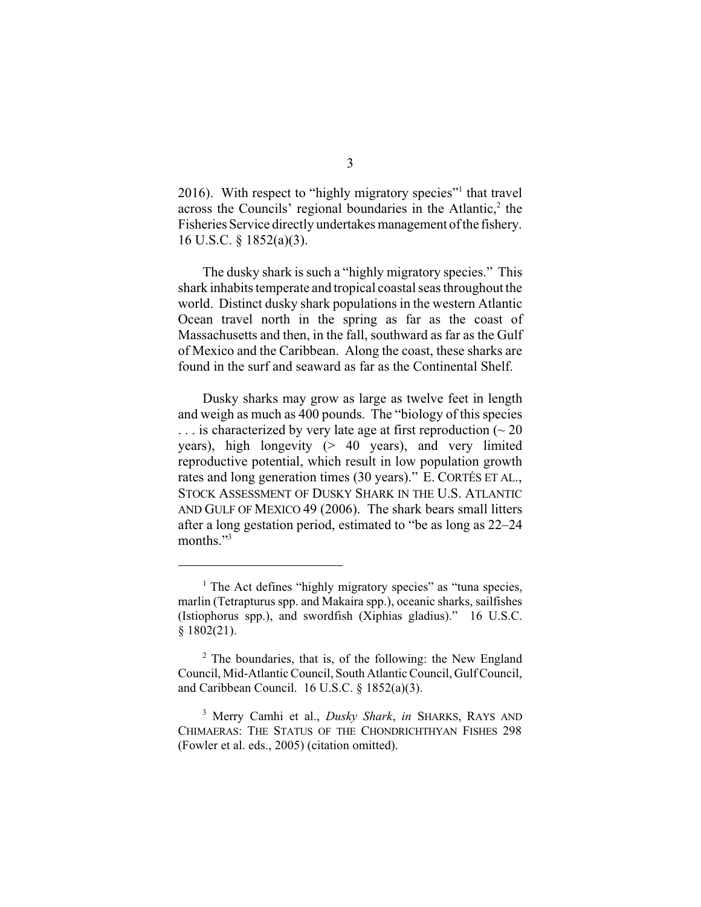2016). With respect to "highly migratory species"<sup>1</sup> that travel across the Councils' regional boundaries in the Atlantic,<sup>2</sup> the Fisheries Service directly undertakes management ofthe fishery. 16 U.S.C. § 1852(a)(3).

The dusky shark is such a "highly migratory species." This shark inhabits temperate and tropical coastal seas throughout the world. Distinct dusky shark populations in the western Atlantic Ocean travel north in the spring as far as the coast of Massachusetts and then, in the fall, southward as far as the Gulf of Mexico and the Caribbean. Along the coast, these sharks are found in the surf and seaward as far as the Continental Shelf.

Dusky sharks may grow as large as twelve feet in length and weigh as much as 400 pounds. The "biology of this species  $\ldots$  is characterized by very late age at first reproduction ( $\sim$  20 years), high longevity (> 40 years), and very limited reproductive potential, which result in low population growth rates and long generation times (30 years)." E. CORTÉS ET AL., STOCK ASSESSMENT OF DUSKY SHARK IN THE U.S. ATLANTIC AND GULF OF MEXICO 49 (2006). The shark bears small litters after a long gestation period, estimated to "be as long as 22–24 months."<sup>3</sup>

 $<sup>1</sup>$  The Act defines "highly migratory species" as "tuna species,</sup> marlin (Tetrapturus spp. and Makaira spp.), oceanic sharks, sailfishes (Istiophorus spp.), and swordfish (Xiphias gladius)." 16 U.S.C. § 1802(21).

 $2$  The boundaries, that is, of the following: the New England Council, Mid-Atlantic Council, South Atlantic Council, Gulf Council, and Caribbean Council. 16 U.S.C. § 1852(a)(3).

Merry Camhi et al., *Dusky Shark*, *in* SHARKS, RAYS AND 3 CHIMAERAS: THE STATUS OF THE CHONDRICHTHYAN FISHES 298 (Fowler et al. eds., 2005) (citation omitted).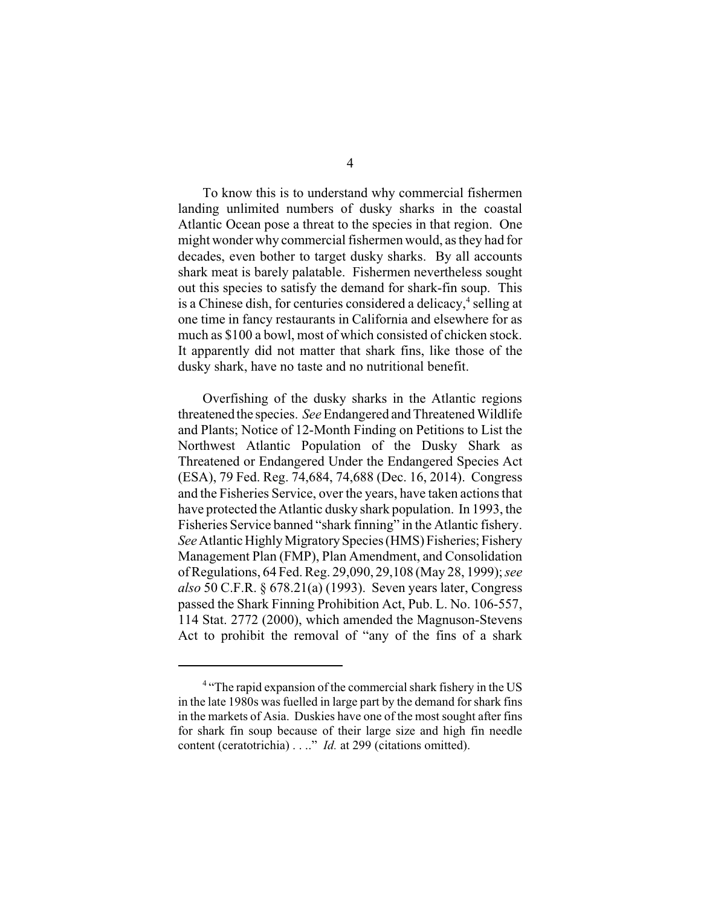To know this is to understand why commercial fishermen landing unlimited numbers of dusky sharks in the coastal Atlantic Ocean pose a threat to the species in that region. One might wonder why commercial fishermen would, as they had for decades, even bother to target dusky sharks. By all accounts shark meat is barely palatable. Fishermen nevertheless sought out this species to satisfy the demand for shark-fin soup. This is a Chinese dish, for centuries considered a delicacy, $4$  selling at one time in fancy restaurants in California and elsewhere for as much as \$100 a bowl, most of which consisted of chicken stock. It apparently did not matter that shark fins, like those of the dusky shark, have no taste and no nutritional benefit.

Overfishing of the dusky sharks in the Atlantic regions threatened the species. *See* Endangered and Threatened Wildlife and Plants; Notice of 12-Month Finding on Petitions to List the Northwest Atlantic Population of the Dusky Shark as Threatened or Endangered Under the Endangered Species Act (ESA), 79 Fed. Reg. 74,684, 74,688 (Dec. 16, 2014). Congress and the Fisheries Service, over the years, have taken actions that have protected the Atlantic dusky shark population. In 1993, the Fisheries Service banned "shark finning" in the Atlantic fishery. *See* Atlantic Highly Migratory Species (HMS) Fisheries; Fishery Management Plan (FMP), Plan Amendment, and Consolidation of Regulations, 64 Fed. Reg. 29,090, 29,108 (May 28, 1999); *see also* 50 C.F.R. § 678.21(a) (1993). Seven years later, Congress passed the Shark Finning Prohibition Act, Pub. L. No. 106-557, 114 Stat. 2772 (2000), which amended the Magnuson-Stevens Act to prohibit the removal of "any of the fins of a shark

<sup>&</sup>lt;sup>4</sup> "The rapid expansion of the commercial shark fishery in the US in the late 1980s was fuelled in large part by the demand for shark fins in the markets of Asia. Duskies have one of the most sought after fins for shark fin soup because of their large size and high fin needle content (ceratotrichia) . . .." *Id.* at 299 (citations omitted).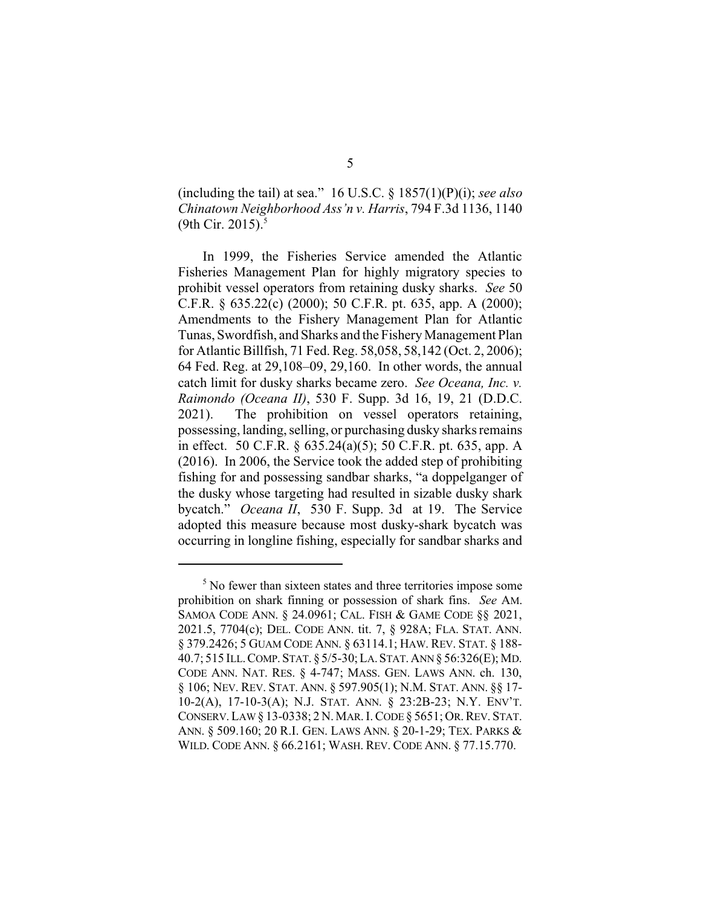(including the tail) at sea." 16 U.S.C. § 1857(1)(P)(i); *see also Chinatown Neighborhood Ass'n v. Harris*, 794 F.3d 1136, 1140 (9th Cir. 2015).<sup>5</sup>

In 1999, the Fisheries Service amended the Atlantic Fisheries Management Plan for highly migratory species to prohibit vessel operators from retaining dusky sharks. *See* 50 C.F.R. § 635.22(c) (2000); 50 C.F.R. pt. 635, app. A (2000); Amendments to the Fishery Management Plan for Atlantic Tunas, Swordfish, and Sharks and the Fishery Management Plan for Atlantic Billfish, 71 Fed. Reg. 58,058, 58,142 (Oct. 2, 2006); 64 Fed. Reg. at 29,108–09, 29,160. In other words, the annual catch limit for dusky sharks became zero. *See Oceana, Inc. v. Raimondo (Oceana II)*, 530 F. Supp. 3d 16, 19, 21 (D.D.C. 2021). The prohibition on vessel operators retaining, possessing, landing, selling, or purchasing dusky sharks remains in effect. 50 C.F.R. § 635.24(a)(5); 50 C.F.R. pt. 635, app. A (2016). In 2006, the Service took the added step of prohibiting fishing for and possessing sandbar sharks, "a doppelganger of the dusky whose targeting had resulted in sizable dusky shark bycatch." *Oceana II*, 530 F. Supp. 3d at 19. The Service adopted this measure because most dusky-shark bycatch was occurring in longline fishing, especially for sandbar sharks and

 $<sup>5</sup>$  No fewer than sixteen states and three territories impose some</sup> prohibition on shark finning or possession of shark fins. *See* AM. SAMOA CODE ANN. § 24.0961; CAL. FISH & GAME CODE §§ 2021, 2021.5, 7704(c); DEL. CODE ANN. tit. 7, § 928A; FLA. STAT. ANN. § 379.2426; 5 GUAM CODE ANN. § 63114.1; HAW. REV. STAT. § 188- 40.7; 515 ILL.COMP.STAT. § 5/5-30;LA.STAT.ANN § 56:326(E);MD. CODE ANN. NAT. RES. § 4-747; MASS. GEN. LAWS ANN. ch. 130, § 106; NEV. REV. STAT. ANN. § 597.905(1); N.M. STAT. ANN. §§ 17- 10-2(A), 17-10-3(A); N.J. STAT. ANN. § 23:2B-23; N.Y. ENV'T. CONSERV. LAW§ 13-0338; 2 N. MAR.I.CODE § 5651; OR.REV. STAT. ANN. § 509.160; 20 R.I. GEN. LAWS ANN. § 20-1-29; TEX. PARKS & WILD. CODE ANN. § 66.2161; WASH. REV. CODE ANN. § 77.15.770.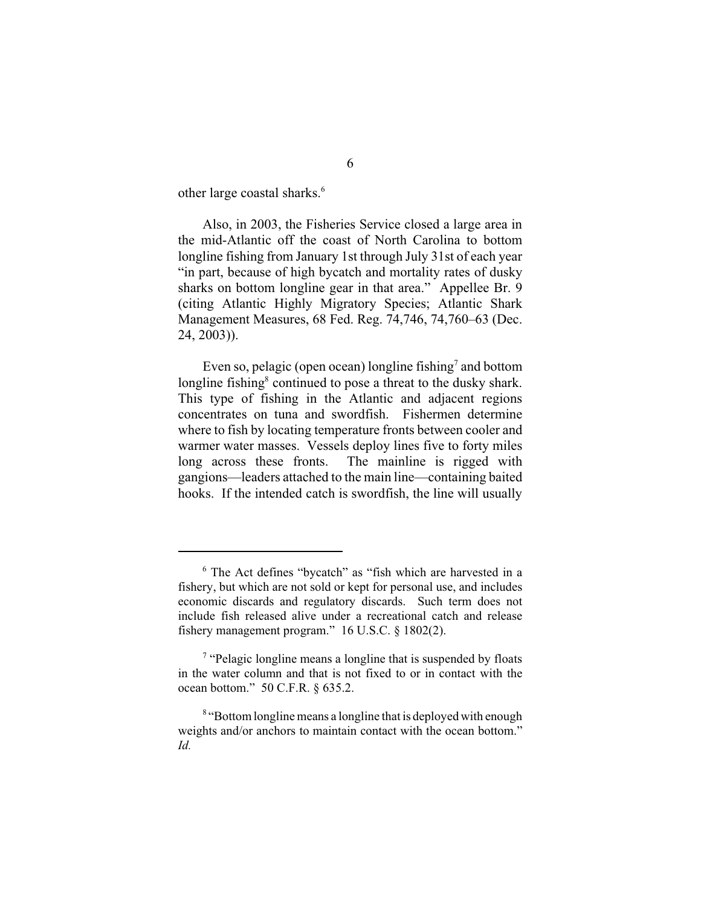other large coastal sharks.<sup>6</sup>

Also, in 2003, the Fisheries Service closed a large area in the mid-Atlantic off the coast of North Carolina to bottom longline fishing from January 1st through July 31st of each year "in part, because of high bycatch and mortality rates of dusky sharks on bottom longline gear in that area." Appellee Br. 9 (citing Atlantic Highly Migratory Species; Atlantic Shark Management Measures, 68 Fed. Reg. 74,746, 74,760–63 (Dec. 24, 2003)).

Even so, pelagic (open ocean) longline fishing<sup>7</sup> and bottom longline fishing<sup>8</sup> continued to pose a threat to the dusky shark. This type of fishing in the Atlantic and adjacent regions concentrates on tuna and swordfish. Fishermen determine where to fish by locating temperature fronts between cooler and warmer water masses. Vessels deploy lines five to forty miles long across these fronts. The mainline is rigged with gangions—leaders attached to the main line—containing baited hooks. If the intended catch is swordfish, the line will usually

 $6$  The Act defines "bycatch" as "fish which are harvested in a fishery, but which are not sold or kept for personal use, and includes economic discards and regulatory discards. Such term does not include fish released alive under a recreational catch and release fishery management program." 16 U.S.C. § 1802(2).

 $\frac{7}{7}$  "Pelagic longline means a longline that is suspended by floats in the water column and that is not fixed to or in contact with the ocean bottom." 50 C.F.R. § 635.2.

<sup>&</sup>lt;sup>8</sup> "Bottom longline means a longline that is deployed with enough weights and/or anchors to maintain contact with the ocean bottom." *Id.*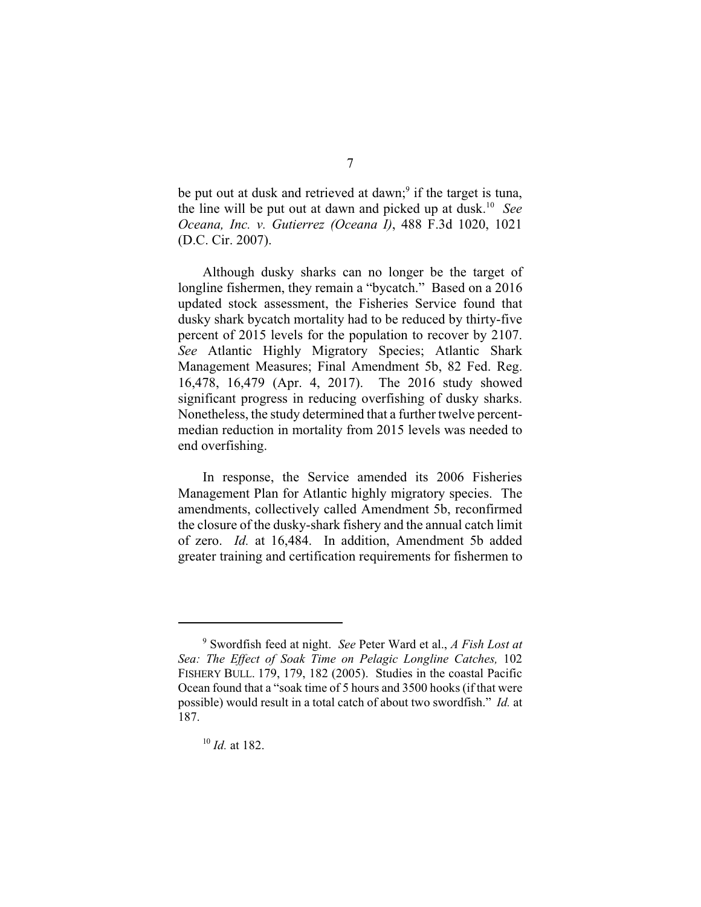be put out at dusk and retrieved at dawn; $\degree$  if the target is tuna, the line will be put out at dawn and picked up at dusk.<sup>10</sup> See *Oceana, Inc. v. Gutierrez (Oceana I)*, 488 F.3d 1020, 1021 (D.C. Cir. 2007).

Although dusky sharks can no longer be the target of longline fishermen, they remain a "bycatch." Based on a 2016 updated stock assessment, the Fisheries Service found that dusky shark bycatch mortality had to be reduced by thirty-five percent of 2015 levels for the population to recover by 2107. *See* Atlantic Highly Migratory Species; Atlantic Shark Management Measures; Final Amendment 5b, 82 Fed. Reg. 16,478, 16,479 (Apr. 4, 2017). The 2016 study showed significant progress in reducing overfishing of dusky sharks. Nonetheless, the study determined that a further twelve percentmedian reduction in mortality from 2015 levels was needed to end overfishing.

In response, the Service amended its 2006 Fisheries Management Plan for Atlantic highly migratory species. The amendments, collectively called Amendment 5b, reconfirmed the closure of the dusky-shark fishery and the annual catch limit of zero. *Id.* at 16,484. In addition, Amendment 5b added greater training and certification requirements for fishermen to

Swordfish feed at night. *See* Peter Ward et al., *A Fish Lost at* <sup>9</sup> *Sea: The Effect of Soak Time on Pelagic Longline Catches,* 102 FISHERY BULL. 179, 179, 182 (2005). Studies in the coastal Pacific Ocean found that a "soak time of 5 hours and 3500 hooks (if that were possible) would result in a total catch of about two swordfish." *Id.* at 187.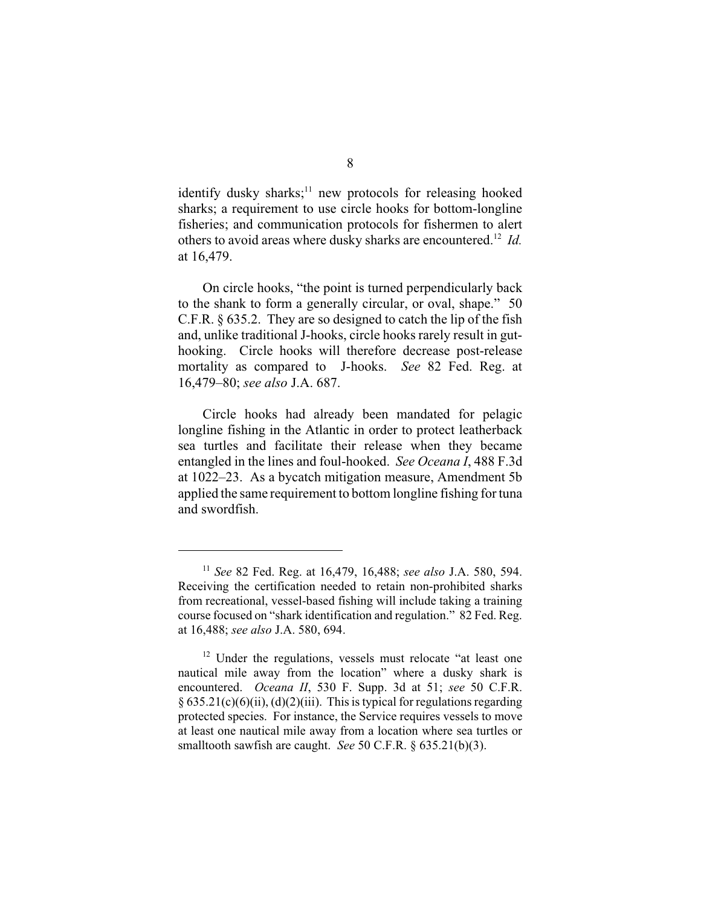identify dusky sharks; $\frac{11}{11}$  new protocols for releasing hooked sharks; a requirement to use circle hooks for bottom-longline fisheries; and communication protocols for fishermen to alert others to avoid areas where dusky sharks are encountered.<sup>12</sup> Id. at 16,479.

On circle hooks, "the point is turned perpendicularly back to the shank to form a generally circular, or oval, shape." 50 C.F.R. § 635.2. They are so designed to catch the lip of the fish and, unlike traditional J-hooks, circle hooks rarely result in guthooking. Circle hooks will therefore decrease post-release mortality as compared to J-hooks. *See* 82 Fed. Reg. at 16,479–80; *see also* J.A. 687.

Circle hooks had already been mandated for pelagic longline fishing in the Atlantic in order to protect leatherback sea turtles and facilitate their release when they became entangled in the lines and foul-hooked. *See Oceana I*, 488 F.3d at 1022–23. As a bycatch mitigation measure, Amendment 5b applied the same requirement to bottom longline fishing for tuna and swordfish.

<sup>&</sup>lt;sup>11</sup> See 82 Fed. Reg. at 16,479, 16,488; *see also* J.A. 580, 594. Receiving the certification needed to retain non-prohibited sharks from recreational, vessel-based fishing will include taking a training course focused on "shark identification and regulation." 82 Fed. Reg. at 16,488; *see also* J.A. 580, 694.

 $12$  Under the regulations, vessels must relocate "at least one nautical mile away from the location" where a dusky shark is encountered. *Oceana II*, 530 F. Supp. 3d at 51; *see* 50 C.F.R.  $\S 635.21(c)(6)(ii)$ , (d)(2)(iii). This is typical for regulations regarding protected species. For instance, the Service requires vessels to move at least one nautical mile away from a location where sea turtles or smalltooth sawfish are caught. *See* 50 C.F.R. § 635.21(b)(3).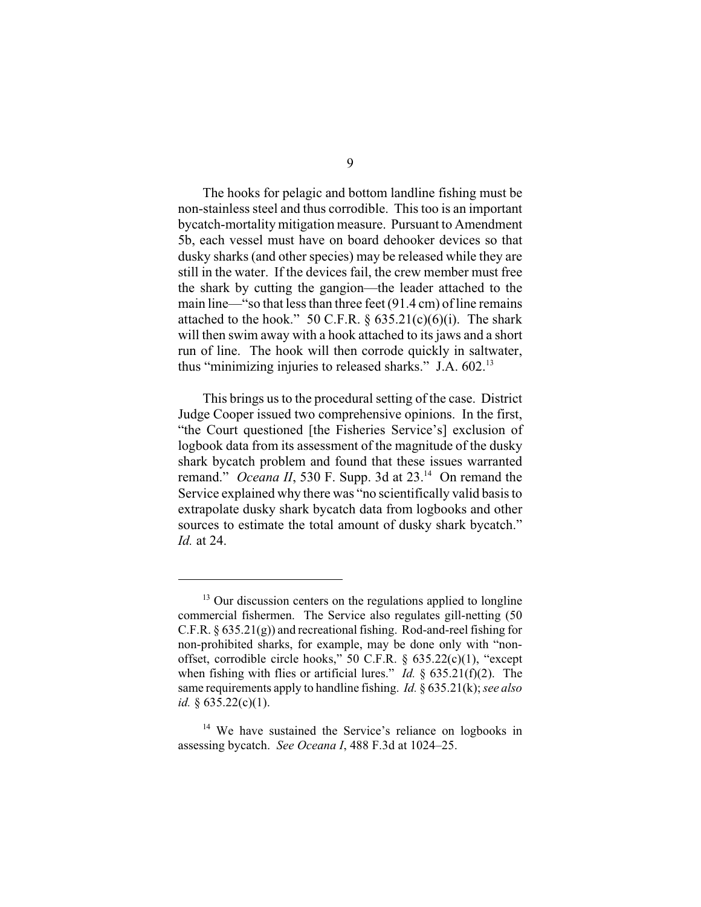The hooks for pelagic and bottom landline fishing must be non-stainless steel and thus corrodible. This too is an important bycatch-mortality mitigation measure. Pursuant to Amendment 5b, each vessel must have on board dehooker devices so that dusky sharks (and other species) may be released while they are still in the water. If the devices fail, the crew member must free the shark by cutting the gangion—the leader attached to the main line—"so that less than three feet (91.4 cm) of line remains attached to the hook." 50 C.F.R.  $\S$  635.21(c)(6)(i). The shark will then swim away with a hook attached to its jaws and a short run of line. The hook will then corrode quickly in saltwater, thus "minimizing injuries to released sharks." J.A. 602.<sup>13</sup>

This brings us to the procedural setting of the case. District Judge Cooper issued two comprehensive opinions. In the first, "the Court questioned [the Fisheries Service's] exclusion of logbook data from its assessment of the magnitude of the dusky shark bycatch problem and found that these issues warranted remand." *Oceana II*, 530 F. Supp. 3d at  $23.^{14}$  On remand the Service explained why there was "no scientifically valid basis to extrapolate dusky shark bycatch data from logbooks and other sources to estimate the total amount of dusky shark bycatch." *Id.* at 24.

 $13$  Our discussion centers on the regulations applied to longline commercial fishermen. The Service also regulates gill-netting (50 C.F.R. § 635.21(g)) and recreational fishing. Rod-and-reel fishing for non-prohibited sharks, for example, may be done only with "nonoffset, corrodible circle hooks," 50 C.F.R. § 635.22(c)(1), "except when fishing with flies or artificial lures." *Id.* § 635.21(f)(2). The same requirements apply to handline fishing. *Id.* § 635.21(k);*see also id.* § 635.22(c)(1).

 $14$  We have sustained the Service's reliance on logbooks in assessing bycatch. *See Oceana I*, 488 F.3d at 1024–25.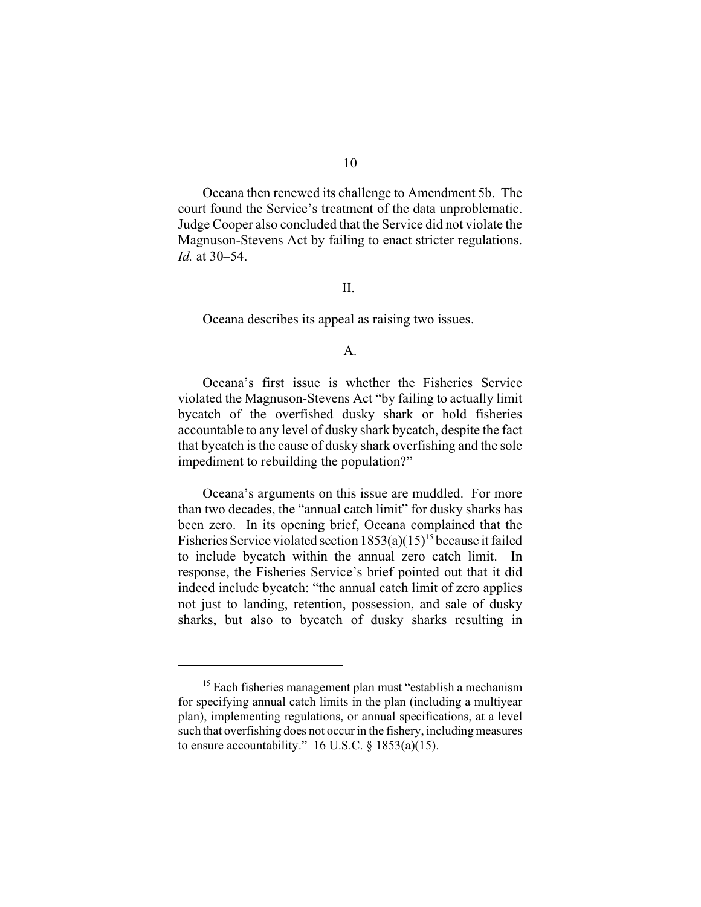Oceana then renewed its challenge to Amendment 5b. The court found the Service's treatment of the data unproblematic. Judge Cooper also concluded that the Service did not violate the Magnuson-Stevens Act by failing to enact stricter regulations. *Id.* at 30–54.

## II.

Oceana describes its appeal as raising two issues.

## $A<sub>1</sub>$

Oceana's first issue is whether the Fisheries Service violated the Magnuson-Stevens Act "by failing to actually limit bycatch of the overfished dusky shark or hold fisheries accountable to any level of dusky shark bycatch, despite the fact that bycatch is the cause of dusky shark overfishing and the sole impediment to rebuilding the population?"

Oceana's arguments on this issue are muddled. For more than two decades, the "annual catch limit" for dusky sharks has been zero. In its opening brief, Oceana complained that the Fisheries Service violated section  $1853(a)(15)^{15}$  because it failed to include bycatch within the annual zero catch limit. In response, the Fisheries Service's brief pointed out that it did indeed include bycatch: "the annual catch limit of zero applies not just to landing, retention, possession, and sale of dusky sharks, but also to bycatch of dusky sharks resulting in

 $15$  Each fisheries management plan must "establish a mechanism" for specifying annual catch limits in the plan (including a multiyear plan), implementing regulations, or annual specifications, at a level such that overfishing does not occur in the fishery, including measures to ensure accountability." 16 U.S.C.  $\S$  1853(a)(15).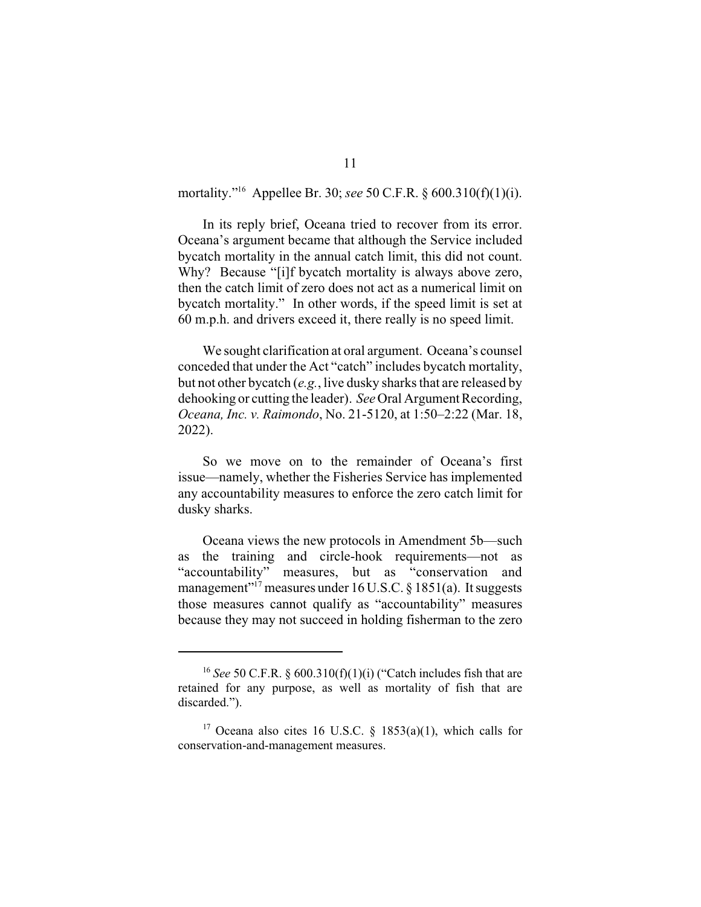mortality."<sup>16</sup> Appellee Br. 30; *see* 50 C.F.R. § 600.310(f)(1)(i).

In its reply brief, Oceana tried to recover from its error. Oceana's argument became that although the Service included bycatch mortality in the annual catch limit, this did not count. Why? Because "[i]f bycatch mortality is always above zero, then the catch limit of zero does not act as a numerical limit on bycatch mortality." In other words, if the speed limit is set at 60 m.p.h. and drivers exceed it, there really is no speed limit.

We sought clarification at oral argument. Oceana's counsel conceded that under the Act "catch" includes bycatch mortality, but not other bycatch (*e.g.*, live dusky sharks that are released by dehooking or cutting the leader). *See* Oral Argument Recording, *Oceana, Inc. v. Raimondo*, No. 21-5120, at 1:50–2:22 (Mar. 18, 2022).

So we move on to the remainder of Oceana's first issue—namely, whether the Fisheries Service has implemented any accountability measures to enforce the zero catch limit for dusky sharks.

Oceana views the new protocols in Amendment 5b—such as the training and circle-hook requirements—not as "accountability" measures, but as "conservation and management" measures under 16 U.S.C.  $\S$  1851(a). It suggests those measures cannot qualify as "accountability" measures because they may not succeed in holding fisherman to the zero

<sup>&</sup>lt;sup>16</sup> See 50 C.F.R. §  $600.310(f)(1)(i)$  ("Catch includes fish that are retained for any purpose, as well as mortality of fish that are discarded.").

<sup>&</sup>lt;sup>17</sup> Oceana also cites 16 U.S.C. § 1853(a)(1), which calls for conservation-and-management measures.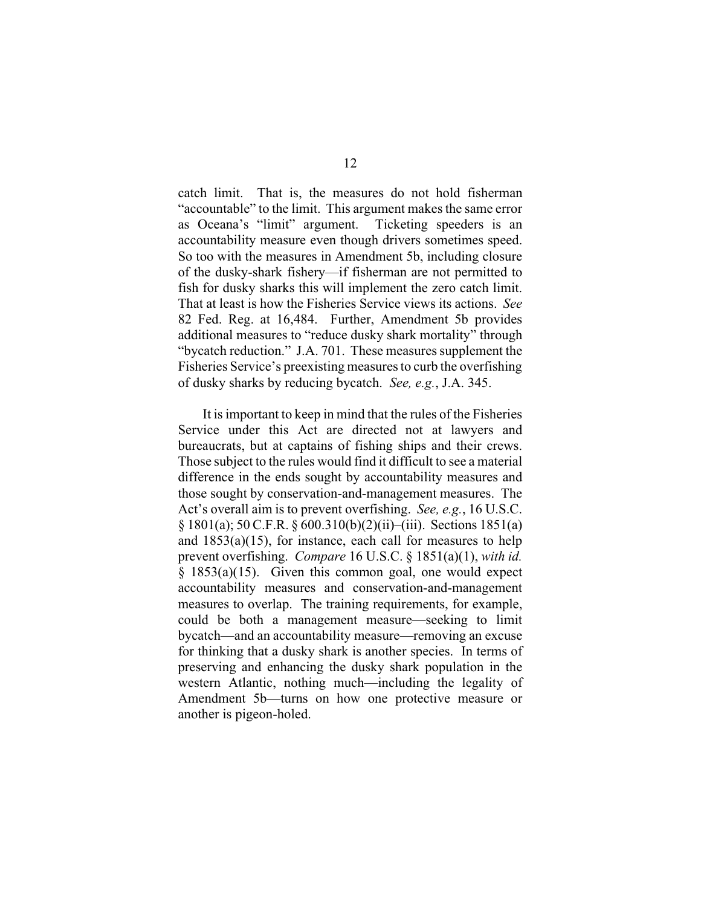catch limit. That is, the measures do not hold fisherman "accountable" to the limit. This argument makes the same error as Oceana's "limit" argument. Ticketing speeders is an accountability measure even though drivers sometimes speed. So too with the measures in Amendment 5b, including closure of the dusky-shark fishery—if fisherman are not permitted to fish for dusky sharks this will implement the zero catch limit. That at least is how the Fisheries Service views its actions. *See* 82 Fed. Reg. at 16,484. Further, Amendment 5b provides additional measures to "reduce dusky shark mortality" through "bycatch reduction." J.A. 701. These measures supplement the Fisheries Service's preexisting measures to curb the overfishing of dusky sharks by reducing bycatch. *See, e.g.*, J.A. 345.

It is important to keep in mind that the rules of the Fisheries Service under this Act are directed not at lawyers and bureaucrats, but at captains of fishing ships and their crews. Those subject to the rules would find it difficult to see a material difference in the ends sought by accountability measures and those sought by conservation-and-management measures. The Act's overall aim is to prevent overfishing. *See, e.g.*, 16 U.S.C. § 1801(a); 50 C.F.R. § 600.310(b)(2)(ii)–(iii). Sections 1851(a) and  $1853(a)(15)$ , for instance, each call for measures to help prevent overfishing. *Compare* 16 U.S.C. § 1851(a)(1), *with id.*  $§$  1853(a)(15). Given this common goal, one would expect accountability measures and conservation-and-management measures to overlap. The training requirements, for example, could be both a management measure—seeking to limit bycatch—and an accountability measure—removing an excuse for thinking that a dusky shark is another species. In terms of preserving and enhancing the dusky shark population in the western Atlantic, nothing much—including the legality of Amendment 5b—turns on how one protective measure or another is pigeon-holed.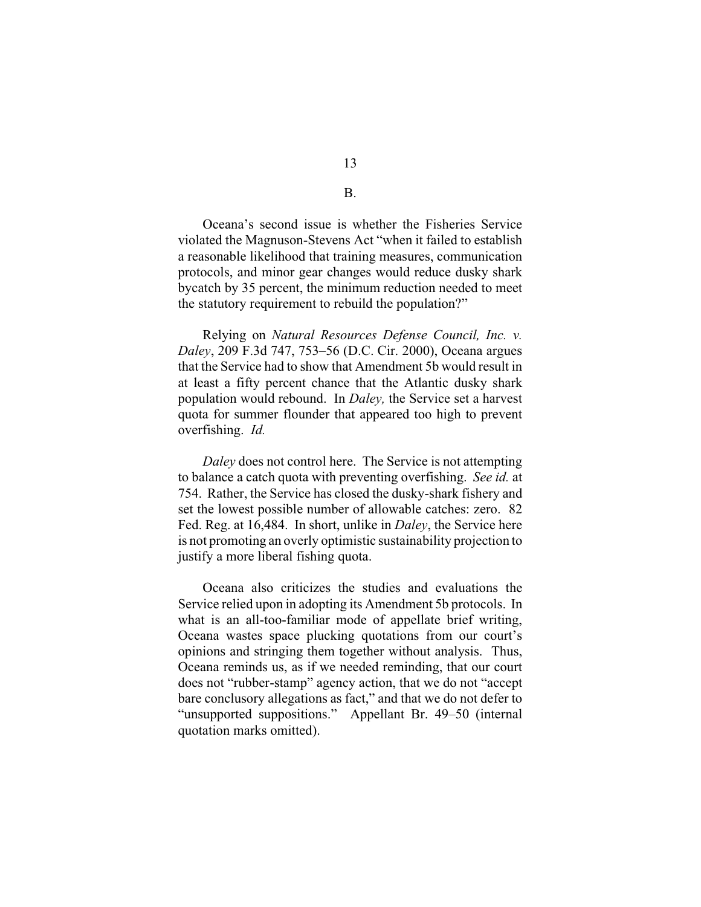Oceana's second issue is whether the Fisheries Service violated the Magnuson-Stevens Act "when it failed to establish a reasonable likelihood that training measures, communication protocols, and minor gear changes would reduce dusky shark bycatch by 35 percent, the minimum reduction needed to meet the statutory requirement to rebuild the population?"

Relying on *Natural Resources Defense Council, Inc. v. Daley*, 209 F.3d 747, 753–56 (D.C. Cir. 2000), Oceana argues that the Service had to show that Amendment 5b would result in at least a fifty percent chance that the Atlantic dusky shark population would rebound. In *Daley,* the Service set a harvest quota for summer flounder that appeared too high to prevent overfishing. *Id.*

*Daley* does not control here. The Service is not attempting to balance a catch quota with preventing overfishing. *See id.* at 754. Rather, the Service has closed the dusky-shark fishery and set the lowest possible number of allowable catches: zero. 82 Fed. Reg. at 16,484. In short, unlike in *Daley*, the Service here is not promoting an overly optimistic sustainability projection to justify a more liberal fishing quota.

Oceana also criticizes the studies and evaluations the Service relied upon in adopting its Amendment 5b protocols. In what is an all-too-familiar mode of appellate brief writing, Oceana wastes space plucking quotations from our court's opinions and stringing them together without analysis. Thus, Oceana reminds us, as if we needed reminding, that our court does not "rubber-stamp" agency action, that we do not "accept bare conclusory allegations as fact," and that we do not defer to "unsupported suppositions." Appellant Br. 49–50 (internal quotation marks omitted).

B.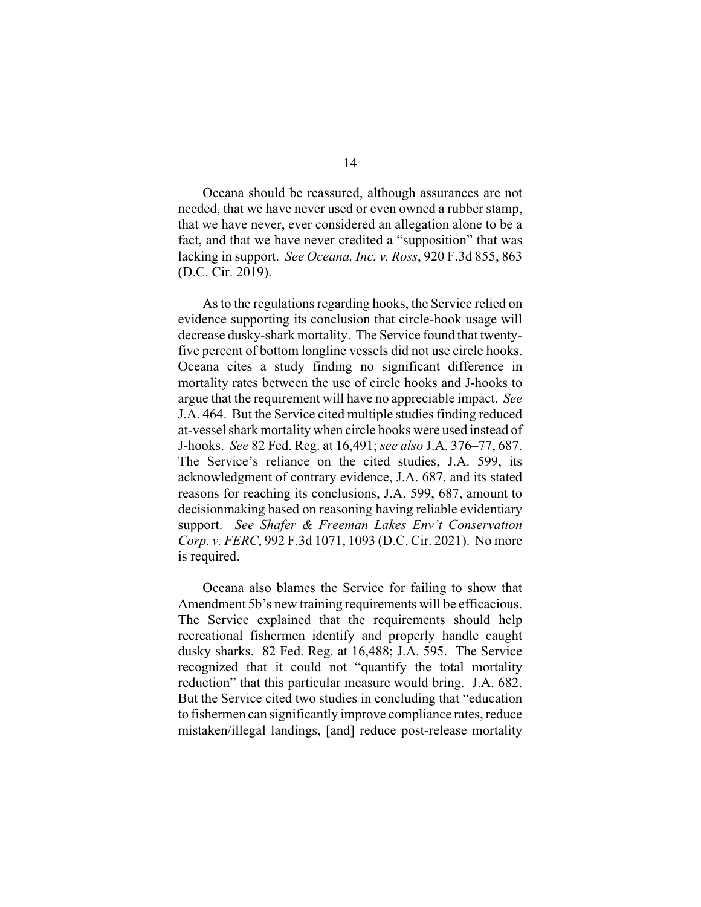Oceana should be reassured, although assurances are not needed, that we have never used or even owned a rubber stamp, that we have never, ever considered an allegation alone to be a fact, and that we have never credited a "supposition" that was lacking in support. *See Oceana, Inc. v. Ross*, 920 F.3d 855, 863 (D.C. Cir. 2019).

As to the regulations regarding hooks, the Service relied on evidence supporting its conclusion that circle-hook usage will decrease dusky-shark mortality. The Service found that twentyfive percent of bottom longline vessels did not use circle hooks. Oceana cites a study finding no significant difference in mortality rates between the use of circle hooks and J-hooks to argue that the requirement will have no appreciable impact. *See* J.A. 464. But the Service cited multiple studies finding reduced at-vessel shark mortality when circle hooks were used instead of J-hooks. *See* 82 Fed. Reg. at 16,491; *see also* J.A. 376–77, 687. The Service's reliance on the cited studies, J.A. 599, its acknowledgment of contrary evidence, J.A. 687, and its stated reasons for reaching its conclusions, J.A. 599, 687, amount to decisionmaking based on reasoning having reliable evidentiary support. *See Shafer & Freeman Lakes Env't Conservation Corp. v. FERC*, 992 F.3d 1071, 1093 (D.C. Cir. 2021). No more is required.

Oceana also blames the Service for failing to show that Amendment 5b's new training requirements will be efficacious. The Service explained that the requirements should help recreational fishermen identify and properly handle caught dusky sharks. 82 Fed. Reg. at 16,488; J.A. 595. The Service recognized that it could not "quantify the total mortality reduction" that this particular measure would bring. J.A. 682. But the Service cited two studies in concluding that "education to fishermen can significantly improve compliance rates, reduce mistaken/illegal landings, [and] reduce post-release mortality